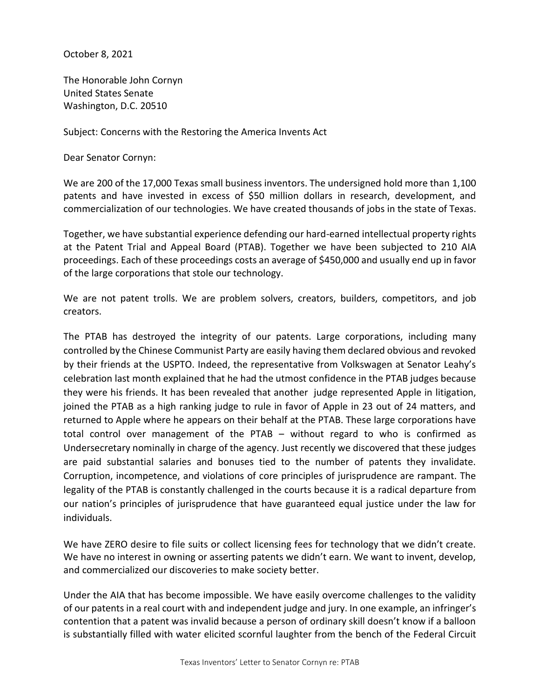October 8, 2021

The Honorable John Cornyn United States Senate Washington, D.C. 20510

Subject: Concerns with the Restoring the America Invents Act

Dear Senator Cornyn:

We are 200 of the 17,000 Texas small business inventors. The undersigned hold more than 1,100 patents and have invested in excess of \$50 million dollars in research, development, and commercialization of our technologies. We have created thousands of jobs in the state of Texas.

Together, we have substantial experience defending our hard-earned intellectual property rights at the Patent Trial and Appeal Board (PTAB). Together we have been subjected to 210 AIA proceedings. Each of these proceedings costs an average of \$450,000 and usually end up in favor of the large corporations that stole our technology.

We are not patent trolls. We are problem solvers, creators, builders, competitors, and job creators.

The PTAB has destroyed the integrity of our patents. Large corporations, including many controlled by the Chinese Communist Party are easily having them declared obvious and revoked by their friends at the USPTO. Indeed, the representative from Volkswagen at Senator Leahy's celebration last month explained that he had the utmost confidence in the PTAB judges because they were his friends. It has been revealed that another judge represented Apple in litigation, joined the PTAB as a high ranking judge to rule in favor of Apple in 23 out of 24 matters, and returned to Apple where he appears on their behalf at the PTAB. These large corporations have total control over management of the PTAB – without regard to who is confirmed as Undersecretary nominally in charge of the agency. Just recently we discovered that these judges are paid substantial salaries and bonuses tied to the number of patents they invalidate. Corruption, incompetence, and violations of core principles of jurisprudence are rampant. The legality of the PTAB is constantly challenged in the courts because it is a radical departure from our nation's principles of jurisprudence that have guaranteed equal justice under the law for individuals.

We have ZERO desire to file suits or collect licensing fees for technology that we didn't create. We have no interest in owning or asserting patents we didn't earn. We want to invent, develop, and commercialized our discoveries to make society better.

Under the AIA that has become impossible. We have easily overcome challenges to the validity of our patents in a real court with and independent judge and jury. In one example, an infringer's contention that a patent was invalid because a person of ordinary skill doesn't know if a balloon is substantially filled with water elicited scornful laughter from the bench of the Federal Circuit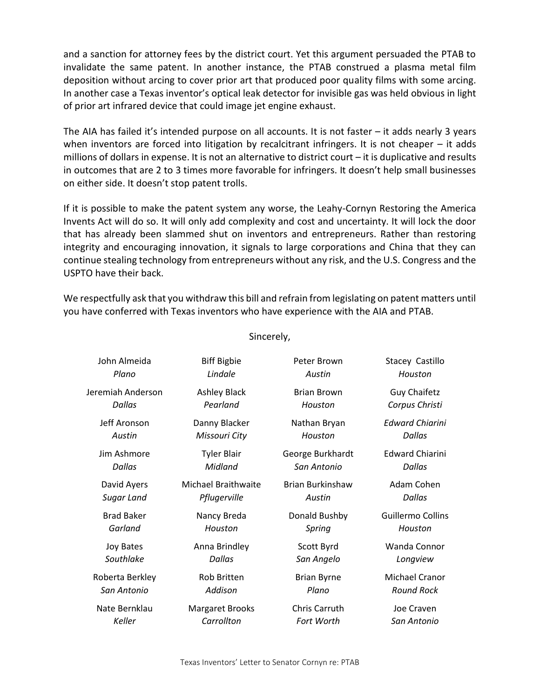and a sanction for attorney fees by the district court. Yet this argument persuaded the PTAB to invalidate the same patent. In another instance, the PTAB construed a plasma metal film deposition without arcing to cover prior art that produced poor quality films with some arcing. In another case a Texas inventor's optical leak detector for invisible gas was held obvious in light of prior art infrared device that could image jet engine exhaust.

The AIA has failed it's intended purpose on all accounts. It is not faster – it adds nearly 3 years when inventors are forced into litigation by recalcitrant infringers. It is not cheaper – it adds millions of dollars in expense. It is not an alternative to district court – it is duplicative and results in outcomes that are 2 to 3 times more favorable for infringers. It doesn't help small businesses on either side. It doesn't stop patent trolls.

If it is possible to make the patent system any worse, the Leahy-Cornyn Restoring the America Invents Act will do so. It will only add complexity and cost and uncertainty. It will lock the door that has already been slammed shut on inventors and entrepreneurs. Rather than restoring integrity and encouraging innovation, it signals to large corporations and China that they can continue stealing technology from entrepreneurs without any risk, and the U.S. Congress and the USPTO have their back.

We respectfully ask that you withdraw this bill and refrain from legislating on patent matters until you have conferred with Texas inventors who have experience with the AIA and PTAB.

| John Almeida      | <b>Biff Bigbie</b>     | Peter Brown             | Stacey Castillo        |
|-------------------|------------------------|-------------------------|------------------------|
| Plano             | Lindale                | Austin                  | Houston                |
| Jeremiah Anderson | <b>Ashley Black</b>    | <b>Brian Brown</b>      | <b>Guy Chaifetz</b>    |
| <b>Dallas</b>     | Pearland               | Houston                 | Corpus Christi         |
| Jeff Aronson      | Danny Blacker          | Nathan Bryan            | <b>Edward Chiarini</b> |
| Austin            | Missouri City          | Houston                 | <b>Dallas</b>          |
| Jim Ashmore       | <b>Tyler Blair</b>     | George Burkhardt        | <b>Edward Chiarini</b> |
| Dallas            | Midland                | San Antonio             | Dallas                 |
| David Ayers       | Michael Braithwaite    | <b>Brian Burkinshaw</b> | Adam Cohen             |
| Sugar Land        | Pflugerville           | Austin                  | <b>Dallas</b>          |
| <b>Brad Baker</b> | Nancy Breda            | Donald Bushby           | Guillermo Collins      |
| Garland           | Houston                | Spring                  | Houston                |
| <b>Joy Bates</b>  | Anna Brindley          | Scott Byrd              | Wanda Connor           |
| Southlake         | Dallas                 | San Angelo              | Longview               |
| Roberta Berkley   | <b>Rob Britten</b>     | <b>Brian Byrne</b>      | Michael Cranor         |
| San Antonio       | Addison                | Plano                   | <b>Round Rock</b>      |
| Nate Bernklau     | <b>Margaret Brooks</b> | <b>Chris Carruth</b>    | Joe Craven             |
| Keller            | Carrollton             | <b>Fort Worth</b>       | San Antonio            |
|                   |                        |                         |                        |

Sincerely,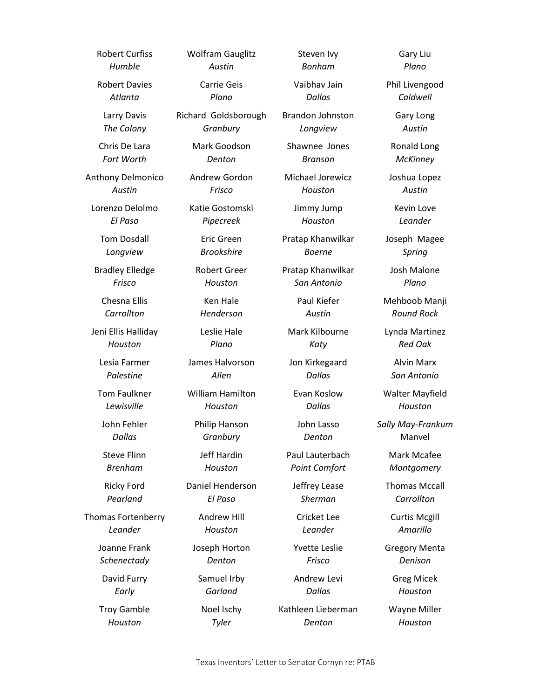Robert Curfiss *Humble* Robert Davies *Atlanta* Larry Davis *The Colony* Chris De Lara *Fort Worth* Anthony Delmonico *Austin* Lorenzo Delolmo *El Paso* Tom Dosdall *Longview* Bradley Elledge *Frisco* Chesna Ellis *Carrollton* Jeni Ellis Halliday *Houston* Lesia Farmer *Palestine* Tom Faulkner *Lewisville* John Fehler *Dallas* Steve Flinn *Brenham* Ricky Ford *Pearland* Thomas Fortenberry *Leander* Joanne Frank *Schenectady* David Furry *Early* Troy Gamble *Houston*

Wolfram Gauglitz *Austin* Carrie Geis *Plano* Richard Goldsborough

*Granbury* Mark Goodson

*Denton* Andrew Gordon

*Frisco* Katie Gostomski

*Pipecreek*

Eric Green *Brookshire*

Robert Greer *Houston*

> Ken Hale *Henderson*

Leslie Hale *Plano*

James Halvorson *Allen*

William Hamilton *Houston*

> Philip Hanson *Granbury*

Jeff Hardin *Houston*

Daniel Henderson *El Paso*

> Andrew Hill *Houston*

Joseph Horton *Denton*

Samuel Irby *Garland* Noel Ischy

*Tyler*

Vaibhav Jain *Dallas* Brandon Johnston

Steven Ivy *Bonham*

*Longview*

Shawnee Jones *Branson*

Michael Jorewicz *Houston*

> Jimmy Jump *Houston*

Pratap Khanwilkar *Boerne*

Pratap Khanwilkar *San Antonio*

> Paul Kiefer *Austin*

Mark Kilbourne *Katy*

Jon Kirkegaard *Dallas*

Evan Koslow *Dallas*

John Lasso *Denton*

Paul Lauterbach *Point Comfort*

Jeffrey Lease *Sherman*

Cricket Lee *Leander*

Yvette Leslie

*Frisco* Andrew Levi

*Dallas*

Kathleen Lieberman *Denton*

Gary Liu *Plano*

Phil Livengood *Caldwell*

> Gary Long *Austin*

Ronald Long *McKinney*

Joshua Lopez *Austin*

Kevin Love *Leander*

Joseph Magee *Spring*

Josh Malone *Plano*

Mehboob Manji *Round Rock*

Lynda Martinez *Red Oak*

> Alvin Marx *San Antonio*

Walter Mayfield *Houston*

*Sally May-Frankum* Manvel

> Mark Mcafee *Montgomery*

Thomas Mccall *Carrollton*

Curtis Mcgill *Amarillo*

Gregory Menta *Denison*

> Greg Micek *Houston*

Wayne Miller *Houston*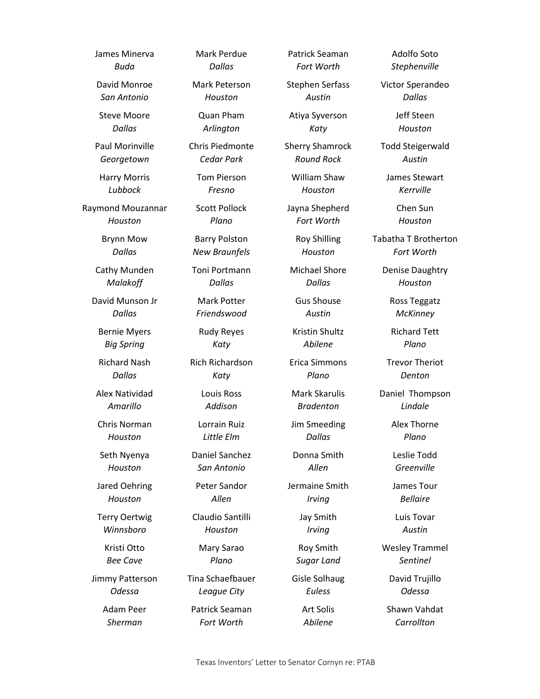James Minerva *Buda* David Monroe *San Antonio* Steve Moore *Dallas* Paul Morinville *Georgetown* Harry Morris *Lubbock* Raymond Mouzannar *Houston* Brynn Mow *Dallas* Cathy Munden *Malakoff* David Munson Jr *Dallas* Bernie Myers *Big Spring* Richard Nash *Dallas* Alex Natividad *Amarillo* Chris Norman *Houston* Seth Nyenya *Houston* Jared Oehring *Houston* Terry Oertwig *Winnsboro* Kristi Otto *Bee Cave* Jimmy Patterson *Odessa* Adam Peer *Sherman*

Mark Perdue *Dallas*

Mark Peterson *Houston*

Quan Pham *Arlington*

Chris Piedmonte *Cedar Park*

> Tom Pierson *Fresno*

Scott Pollock *Plano*

Barry Polston *New Braunfels*

Toni Portmann *Dallas*

Mark Potter *Friendswood*

Rudy Reyes *Katy*

Rich Richardson *Katy*

> Louis Ross *Addison*

Lorrain Ruiz *Little Elm*

Daniel Sanchez *San Antonio*

Peter Sandor *Allen*

Claudio Santilli *Houston*

> Mary Sarao *Plano*

Tina Schaefbauer *League City* Patrick Seaman

*Fort Worth*

Patrick Seaman *Fort Worth*

Stephen Serfass *Austin*

Atiya Syverson *Katy*

Sherry Shamrock *Round Rock*

> William Shaw *Houston*

Jayna Shepherd *Fort Worth*

Roy Shilling *Houston*

Michael Shore *Dallas*

Gus Shouse *Austin*

Kristin Shultz *Abilene*

Erica Simmons *Plano*

Mark Skarulis *Bradenton*

Jim Smeeding *Dallas*

Donna Smith *Allen*

Jermaine Smith *Irving*

Jay Smith

*Irving* Roy Smith

*Sugar Land* Gisle Solhaug

*Euless* Art Solis *Abilene*

Adolfo Soto *Stephenville*

Victor Sperandeo *Dallas*

> Jeff Steen *Houston*

Todd Steigerwald *Austin*

James Stewart *Kerrville*

> Chen Sun *Houston*

Tabatha T Brotherton *Fort Worth*

Denise Daughtry *Houston*

> Ross Teggatz *McKinney*

Richard Tett *Plano*

Trevor Theriot *Denton*

Daniel Thompson *Lindale*

> Alex Thorne *Plano*

Leslie Todd *Greenville*

James Tour *Bellaire*

Luis Tovar *Austin*

Wesley Trammel *Sentinel*

> David Trujillo *Odessa*

Shawn Vahdat *Carrollton*